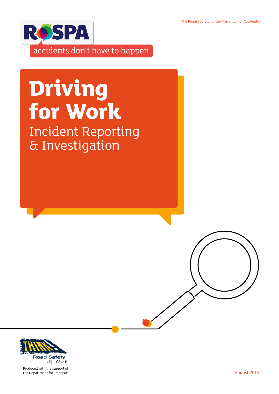The Royal Society for the Prevention of Accidents



# **Driving for Work** Incident Reporting & Investigation



Produced with the support of the Department for Transport **August 2016**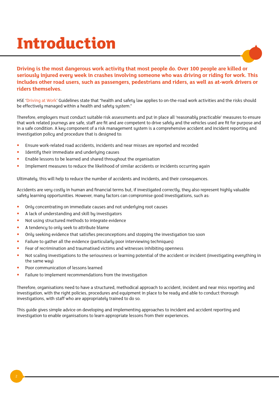## **Introduction**



HSE '[Driving at Work'](http://www.hse.gov.uk/pubns/indg382.pdf ) Guidelines state that "health and safety law applies to on-the-road work activities and the risks should be effectively managed within a health and safety system."

Therefore, employers must conduct suitable risk assessments and put in place all 'reasonably practicable' measures to ensure that work related journeys are safe, staff are fit and are competent to drive safely and the vehicles used are fit for purpose and in a safe condition. A key component of a risk management system is a comprehensive accident and incident reporting and investigation policy and procedure that is designed to:

- Ensure work-related road accidents, incidents and near misses are reported and recorded
- Identifu their immediate and underluing causes
- Enable lessons to be learned and shared throughout the organisation
- Implement measures to reduce the likelihood of similar accidents or incidents occurring again

Ultimately, this will help to reduce the number of accidents and incidents, and their consequences.

Accidents are very costly in human and financial terms but, if investigated correctly, they also represent highly valuable safety learning opportunities. However, many factors can compromise good investigations, such as:

- Only concentrating on immediate causes and not underlying root causes
- A lack of understanding and skill by investigators
- Not using structured methods to integrate evidence
- A tendency to only seek to attribute blame
- Only seeking evidence that satisfies preconceptions and stopping the investigation too soon
- Failure to gather all the evidence (particularly poor interviewing techniques)
- Fear of recrimination and traumatised victims and witnesses inhibiting openness
- Not scaling investigations to the seriousness or learning potential of the accident or incident (investigating everything in the same way)
- Poor communication of lessons learned
- Failure to implement recommendations from the investigation

Therefore, organisations need to have a structured, methodical approach to accident, incident and near miss reporting and investigation, with the right policies, procedures and equipment in place to be ready and able to conduct thorough investigations, with staff who are appropriately trained to do so.

This guide gives simple advice on developing and implementing approaches to incident and accident reporting and investigation to enable organisations to learn appropriate lessons from their experiences.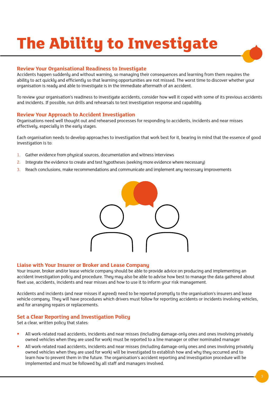# **The Ability to Investigate**

## **Review Your Organisational Readiness to Investigate**

Accidents happen suddenly and without warning, so managing their consequences and learning from them requires the ability to act quickly and efficiently so that learning opportunities are not missed. The worst time to discover whether your organisation is ready and able to investigate is in the immediate aftermath of an accident.

To review your organisation's readiness to investigate accidents, consider how well it coped with some of its previous accidents and incidents. If possible, run drills and rehearsals to test investigation response and capability.

## **Review Your Approach to Accident Investigation**

Organisations need well thought out and rehearsed processes for responding to accidents, incidents and near misses effectively, especially in the early stages.

Each organisation needs to develop approaches to investigation that work best for it, bearing in mind that the essence of good investigation is to:

- 1. Gather evidence from physical sources, documentation and witness interviews
- 2. Integrate the evidence to create and test hypotheses (seeking more evidence where necessary)
- 3. Reach conclusions, make recommendations and communicate and implement any necessary improvements



## **Liaise with Your Insurer or Broker and Lease Company**

Your insurer, broker and/or lease vehicle company should be able to provide advice on producing and implementing an accident investigation policy and procedure. They may also be able to advise how best to manage the data gathered about fleet use, accidents, incidents and near misses and how to use it to inform your risk management.

Accidents and incidents (and near misses if agreed) need to be reported promptly to the organisation's insurers and lease vehicle company. They will have procedures which drivers must follow for reporting accidents or incidents involving vehicles, and for arranging repairs or replacements.

## **Set a Clear Reporting and Investigation Policy**

Set a clear, written policy that states:

- All work-related road accidents, incidents and near misses (including damage-only ones and ones involving privately owned vehicles when they are used for work) must be reported to a line manager or other nominated manager
- All work-related road accidents, incidents and near misses (including damage-only ones and ones involving privately owned vehicles when they are used for work) will be investigated to establish how and why they occurred and to learn how to prevent them in the future. The organisation's accident reporting and investigation procedure will be implemented and must be followed by all staff and managers involved.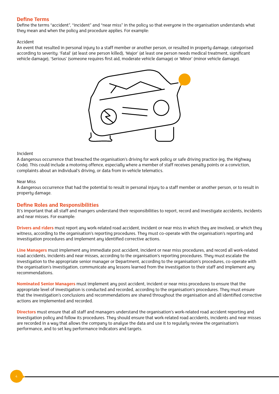## **Define Terms**

Define the terms "accident", "incident" and "near miss" in the policy so that everyone in the organisation understands what they mean and when the policy and procedure applies. For example:

#### Accident

An event that resulted in personal injury to a staff member or another person, or resulted in property damage, categorised according to severity: 'Fatal' (at least one person killed), 'Major' (at least one person needs medical treatment, significant vehicle damage), 'Serious' (someone requires first aid, moderate vehicle damage) or 'Minor' (minor vehicle damage).



#### Incident

A dangerous occurrence that breached the organisation's driving for work policy or safe driving practice (eg, the Highway Code). This could include a motoring offence, especially where a member of staff receives penalty points or a conviction, complaints about an individual's driving, or data from in-vehicle telematics.

#### Near Miss

A dangerous occurrence that had the potential to result in personal injury to a staff member or another person, or to result in property damage.

## **Define Roles and Responsibilities**

It's important that all staff and mangers understand their responsibilities to report, record and investigate accidents, incidents and near misses. For example:

**Drivers and riders** must report any work-related road accident, incident or near miss in which they are involved, or which they witness, according to the organisation's reporting procedures. They must co-operate with the organisation's reporting and investigation procedures and implement any identified corrective actions.

**Line Managers** must implement any immediate post accident, incident or near miss procedures, and record all work-related road accidents, incidents and near misses, according to the organisation's reporting procedures. They must escalate the investigation to the appropriate senior manager or Department, according to the organisation's procedures, co-operate with the organisation's investigation, communicate any lessons learned from the investigation to their staff and implement any recommendations.

**Nominated Senior Managers** must implement any post accident, incident or near miss procedures to ensure that the appropriate level of investigation is conducted and recorded, according to the organisation's procedures. They must ensure that the investigation's conclusions and recommendations are shared throughout the organisation and all identified corrective actions are implemented and recorded.

**Directors** must ensure that all staff and managers understand the organisation's work-related road accident reporting and investigation policy and follow its procedures. They should ensure that work-related road accidents, incidents and near misses are recorded in a way that allows the company to analyse the data and use it to regularly review the organisation's performance, and to set key performance indicators and targets.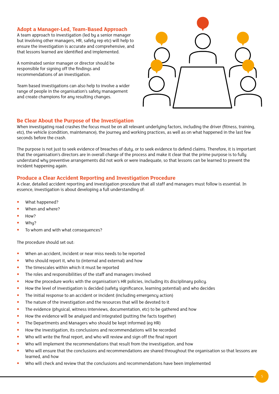## **Adopt a Manager-Led, Team-Based Approach**

A team approach to investigation (led by a senior manager but involving other managers, HR, safety rep etc) will help to ensure the investigation is accurate and comprehensive, and that lessons learned are identified and implemented.

A nominated senior manager or director should be responsible for signing off the findings and recommendations of an investigation.

Team based investigations can also help to involve a wider range of people in the organisation's safety management and create champions for any resulting changes.



## **Be Clear About the Purpose of the Investigation**

When investigating road crashes the focus must be on all relevant underlying factors, including the driver (fitness, training, etc), the vehicle (condition, maintenance), the journey and working practices, as well as on what happened in the last few seconds before the crash.

The purpose is not just to seek evidence of breaches of duty, or to seek evidence to defend claims. Therefore, it is important that the organisation's directors are in overall charge of the process and make it clear that the prime purpose is to fully understand why preventive arrangements did not work or were inadequate, so that lessons can be learned to prevent the incident happening again.

## **Produce a Clear Accident Reporting and Investigation Procedure**

A clear, detailed accident reporting and investigation procedure that all staff and managers must follow is essential. In essence, investigation is about developing a full understanding of:

- What happened?
- When and where?
- How?
- Why?
- To whom and with what consequences?

The procedure should set out:

- When an accident, incident or near miss needs to be reported
- Who should report it, who to (internal and external) and how
- The timescales within which it must be reported
- The roles and responsibilities of the staff and managers involved
- How the procedure works with the organisation's HR policies, including its disciplinary policy.
- How the level of investigation is decided (safety significance, learning potential) and who decides
- The initial response to an accident or incident (including emergency action)
- The nature of the investigation and the resources that will be devoted to it
- The evidence (physical, witness interviews, documentation, etc) to be gathered and how
- How the evidence will be analysed and integrated (putting the facts together)
- The Departments and Managers who should be kept informed (eg HR)
- How the investigation, its conclusions and recommendations will be recorded
- Who will write the final report, and who will review and sign off the final report
- Who will implement the recommendations that result from the investigation, and how
- Who will ensure that the conclusions and recommendations are shared throughout the organisation so that lessons are learned, and how
- Who will check and review that the conclusions and recommendations have been implemented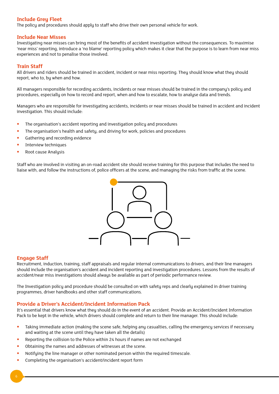## **Include Grey Fleet**

The policy and procedures should apply to staff who drive their own personal vehicle for work.

#### **Include Near Misses**

Investigating near misses can bring most of the benefits of accident investigation without the consequences. To maximise 'near miss' reporting, introduce a 'no blame' reporting policy which makes it clear that the purpose is to learn from near miss experiences and not to penalise those involved.

#### **Train Staff**

All drivers and riders should be trained in accident, incident or near miss reporting. They should know what they should report, who to, by when and how.

All managers responsible for recording accidents, incidents or near misses should be trained in the company's policy and procedures, especially on how to record and report, when and how to escalate, how to analyse data and trends.

Managers who are responsible for investigating accidents, incidents or near misses should be trained in accident and incident investigation. This should include:

- The organisation's accident reporting and investigation policy and procedures
- The organisation's health and safety, and driving for work, policies and procedures
- Gathering and recording evidence
- Interview techniques
- Root cause Analysis

Staff who are involved in visiting an on-road accident site should receive training for this purpose that includes the need to liaise with, and follow the instructions of, police officers at the scene, and managing the risks from traffic at the scene.



## **Engage Staff**

Recruitment, induction, training, staff appraisals and regular internal communications to drivers, and their line managers should include the organisation's accident and incident reporting and investigation procedures. Lessons from the results of accident/near miss investigations should always be available as part of periodic performance review.

The Investigation policy and procedure should be consulted on with safety reps and clearly explained in driver training programmes, driver handbooks and other staff communications.

## **Provide a Driver's Accident/Incident Information Pack**

It's essential that drivers know what they should do in the event of an accident. Provide an Accident/Incident Information Pack to be kept in the vehicle, which drivers should complete and return to their line manager. This should include:

- Taking immediate action (making the scene safe, helping any casualties, calling the emergency services if necessary and waiting at the scene until they have taken all the details)
- Reporting the collision to the Police within 24 hours if names are not exchanged
- Obtaining the names and addresses of witnesses at the scene.
- Notifying the line manager or other nominated person within the required timescale.
- Completing the organisation's accident/incident report form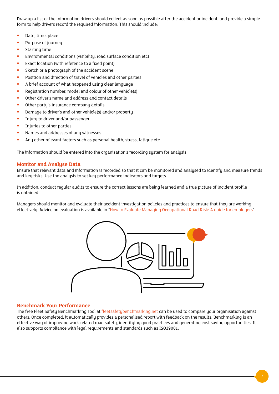Draw up a list of the information drivers should collect as soon as possible after the accident or incident, and provide a simple form to help drivers record the required information. This should include:

- Date, time, place
- Purpose of journey
- Starting time
- Environmental conditions (visibility, road surface condition etc)
- Exact location (with reference to a fixed point)
- Sketch or a photograph of the accident scene
- Position and direction of travel of vehicles and other parties
- A brief account of what happened using clear language
- Registration number, model and colour of other vehicle(s)
- Other driver's name and address and contact details
- Other party's insurance company details
- Damage to driver's and other vehicle(s) and/or property
- Injury to driver and/or passenger
- Injuries to other parties
- Names and addresses of any witnesses
- Any other relevant factors such as personal health, stress, fatigue etc

The information should be entered into the organisation's recording system for analysis.

#### **Monitor and Analyse Data**

Ensure that relevant data and information is recorded so that it can be monitored and analysed to identify and measure trends and key risks. Use the analysis to set key performance indicators and targets.

In addition, conduct regular audits to ensure the correct lessons are being learned and a true picture of incident profile is obtained.

Managers should monitor and evaluate their accident investigation policies and practices to ensure that they are working effectively. Advice on evaluation is available in "[How to Evaluate Managing Occupational Road Risk: A guide for employers"](http://www.rospa.com/rospaweb/docs/advice-services/road-safety/employers/morr-evaluation-guide.pdf).



#### **Benchmark Your Performance**

The free Fleet Safety Benchmarking Tool at [fleetsafetybenchmarking.net](http://www.fleetsafetybenchmarking.net) can be used to compare your organisation against others. Once completed, it automatically provides a personalised report with feedback on the results. Benchmarking is an effective way of improving work-related road safety, identifying good practices and generating cost saving opportunities. It also supports compliance with legal requirements and standards such as ISO39001.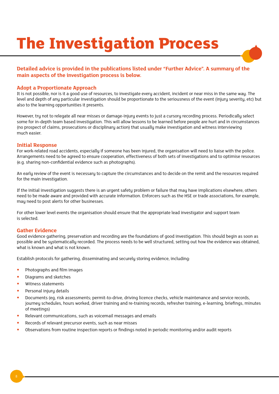# **The Investigation Process**

## **Detailed advice is provided in the publications listed under "Further Advice". A summary of the main aspects of the investigation process is below.**

## **Adopt a Proportionate Approach**

It is not possible, nor is it a good use of resources, to investigate every accident, incident or near miss in the same way. The level and depth of any particular investigation should be proportionate to the seriousness of the event (injury severity, etc) but also to the learning opportunities it presents.

However, try not to relegate all near misses or damage-injury events to just a cursory recording process. Periodically select some for in-depth team based investigation. This will allow lessons to be learned before people are hurt and in circumstances (no prospect of claims, prosecutions or disciplinary action) that usually make investigation and witness interviewing much easier.

## **Initial Response**

For work-related road accidents, especially if someone has been injured, the organisation will need to liaise with the police. Arrangements need to be agreed to ensure cooperation, effectiveness of both sets of investigations and to optimise resources (e.g. sharing non-confidential evidence such as photographs).

An early review of the event is necessary to capture the circumstances and to decide on the remit and the resources required for the main investigation.

If the initial investigation suggests there is an urgent safety problem or failure that may have implications elsewhere, others need to be made aware and provided with accurate information. Enforcers such as the HSE or trade associations, for example, may need to post alerts for other businesses.

For other lower level events the organisation should ensure that the appropriate lead investigator and support team is selected.

## **Gather Evidence**

Good evidence gathering, preservation and recording are the foundations of good investigation. This should begin as soon as possible and be systematically recorded. The process needs to be well structured, setting out how the evidence was obtained, what is known and what is not known.

Establish protocols for gathering, disseminating and securely storing evidence, including:

- Photographs and film images
- Diagrams and sketches
- Witness statements
- Personal injury details
- Documents (eg, risk assessments; permit-to-drive, driving licence checks, vehicle maintenance and service records, journey schedules, hours worked, driver training and re-training records, refresher training, e-learning, briefings, minutes of meetings)
- Relevant communications, such as voicemail messages and emails
- Records of relevant precursor events, such as near misses
- Observations from routine inspection reports or findings noted in periodic monitoring and/or audit reports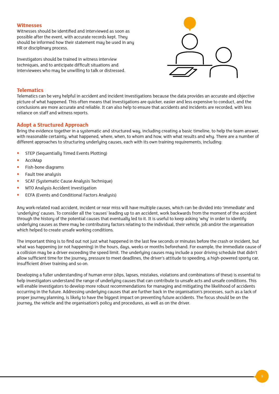#### **Witnesses**

Witnesses should be identified and interviewed as soon as possible after the event, with accurate records kept. They should be informed how their statement may be used in any HR or disciplinary process.

Investigators should be trained in witness interview techniques, and to anticipate difficult situations and interviewees who may be unwilling to talk or distressed.



## **Telematics**

Telematics can be very helpful in accident and incident investigations because the data provides an accurate and objective picture of what happened. This often means that investigations are quicker, easier and less expensive to conduct, and the conclusions are more accurate and reliable. It can also help to ensure that accidents and incidents are recorded, with less reliance on staff and witness reports.

## **Adopt a Structured Approach**

Bring the evidence together in a systematic and structured way, including creating a basic timeline, to help the team answer, with reasonable certainty, what happened, where, when, to whom and how, with what results and why. There are a number of different approaches to structuring underlying causes, each with its own training requirements, including:

- STEP (Sequentially Timed Events Plotting)
- AcciMap
- Fish-bone diagrams
- Fault tree analysis
- SCAT (Systematic Cause Analysis Technique)
- MTO Analusis Accident investigation
- ECFA (Events and Conditional Factors Analysis)

Any work-related road accident, incident or near miss will have multiple causes, which can be divided into 'immediate' and 'underlying' causes. To consider all the 'causes' leading up to an accident, work backwards from the moment of the accident through the history of the potential causes that eventually led to it. It is useful to keep asking 'why' in order to identify underlying causes as there may be contributory factors relating to the individual, their vehicle, job and/or the organisation which helped to create unsafe working conditions.

The important thing is to find out not just what happened in the last few seconds or minutes before the crash or incident, but what was happening (or not happening) in the hours, days, weeks or months beforehand. For example, the immediate cause of a collision may be a driver exceeding the speed limit. The underlying causes may include a poor driving schedule that didn't allow sufficient time for the journey, pressure to meet deadlines, the driver's attitude to speeding, a high-powered sporty car, insufficient driver training and so on.

Developing a fuller understanding of human error (slips, lapses, mistakes, violations and combinations of these) is essential to help investigators understand the range of underlying causes that can contribute to unsafe acts and unsafe conditions. This will enable investigators to develop more robust recommendations for managing and mitigating the likelihood of accidents occurring in the future. Addressing underlying causes that are further back in the organisation's processes, such as a lack of proper journey planning, is likely to have the biggest impact on preventing future accidents. The focus should be on the journey, the vehicle and the organisation's policy and procedures, as well as on the driver.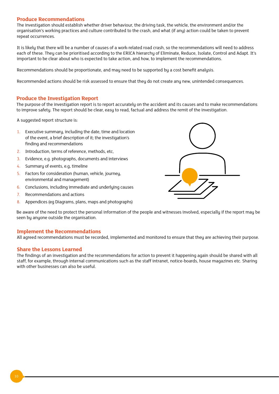## **Produce Recommendations**

The investigation should establish whether driver behaviour, the driving task, the vehicle, the environment and/or the organisation's working practices and culture contributed to the crash, and what (if any) action could be taken to prevent repeat occurrences.

It is likely that there will be a number of causes of a work-related road crash, so the recommendations will need to address each of these. They can be prioritised according to the ERICA hierarchy of Eliminate, Reduce, Isolate, Control and Adapt. It's important to be clear about who is expected to take action, and how, to implement the recommendations.

Recommendations should be proportionate, and may need to be supported by a cost benefit analysis.

Recommended actions should be risk assessed to ensure that they do not create any new, unintended consequences.

#### **Produce the Investigation Report**

The purpose of the investigation report is to report accurately on the accident and its causes and to make recommendations to improve safety. The report should be clear, easy to read, factual and address the remit of the investigation.

A suggested report structure is:

- 1. Executive summary, including the date, time and location of the event, a brief description of it; the investigation's finding and recommendations
- 2. Introduction, terms of reference, methods, etc,
- 3. Evidence, e.g. photographs, documents and interviews
- 4. Summary of events, e.g, timeline
- 5. Factors for consideration (human, vehicle, journey, environmental and management)
- 6. Conclusions, including immediate and underlying causes
- 7. Recommendations and actions
- 8. Appendices (eg Diagrams, plans, maps and photographs)



Be aware of the need to protect the personal information of the people and witnesses involved, especially if the report may be seen by anyone outside the organisation.

## **Implement the Recommendations**

All agreed recommendations must be recorded, implemented and monitored to ensure that they are achieving their purpose.

## **Share the Lessons Learned**

The findings of an investigation and the recommendations for action to prevent it happening again should be shared with all staff, for example, through internal communications such as the staff intranet, notice-boards, house magazines etc. Sharing with other businesses can also be useful.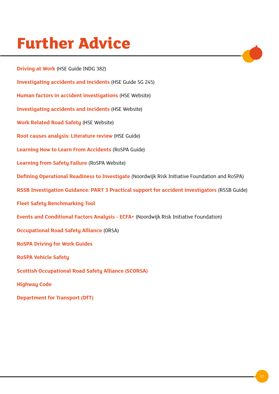## **Further Advice**

**[Department for Transport \(DfT\)](http://www.dft.gov.uk/)**

**[Driving at Work](http://www.hse.gov.uk/pubns/indg382.pdf)** (HSE Guide INDG 382) **[Investigating accidents and incidents](http://www.hse.gov.uk/pubns/priced/hsg245.pdf)** (HSE Guide SG 245) **[Human factors in accident investigations](http://www.hse.gov.uk/humanfactors/topics/investigation.htm)** (HSE Website) **[Investigating accidents and incidents](http://www.hse.gov.uk/managing/delivering/check/investigating-accidents-incidents.htm)** (HSE Website) **[Work Related Road Safety](http://www.hse.gov.uk/roadsafety/index.htm)** (HSE Website) **[Root causes analysis: Literature review](http://www.hse.gov.uk/research/crr_pdf/2001/crr01325.pdf)** (HSE Guide) **[Learning How to Learn From Accidents](http://www.rospa.com/rospaweb/docs/advice-services/occupational-safety/noshc/learning-how-to-learn-from-accidents.pdf)** (RoSPA Guide) **[Learning from Safety Failure](http://www.rospa.com/occupational-safety/advice/safety-failure/)** (RoSPA Website) **[Defining Operational Readiness to Investigate](http://www.nri.eu.com/WP1.pdf)** (Noordwijk Risk Initiative Foundation and RoSPA) **[RSSB Investigation Guidance: PART 3 Practical support for accident investigators](http://www.rssb.co.uk/Library/improving-industry-performance/2014-guidance-accident-investigationg-guidance-part-3.pdf)** (RSSB Guide) **[Fleet Safety Benchmarking Tool](http://www.fleetsafetybenchmarking.net/) [Events and Conditional Factors Analysis - ECFA+](http://www.nri.eu.com/ecfa.html)** (Noordwijk Risk Initiative Foundation) **[Occupational Road Safety Alliance](http://www.orsa.org.uk/)** (ORSA) **[RoSPA Driving for Work Guides](http://www.rospa.com/road-safety/resources/free/employers/) [RoSPA Vehicle Safety](http://www.rospa.com/road-safety/advice/vehicles/) [Scottish Occupational Road Safety Alliance \(SCORSA\)](http://www.scorsa.org.uk/) [Highway Code](https://www.gov.uk/highway-code)**